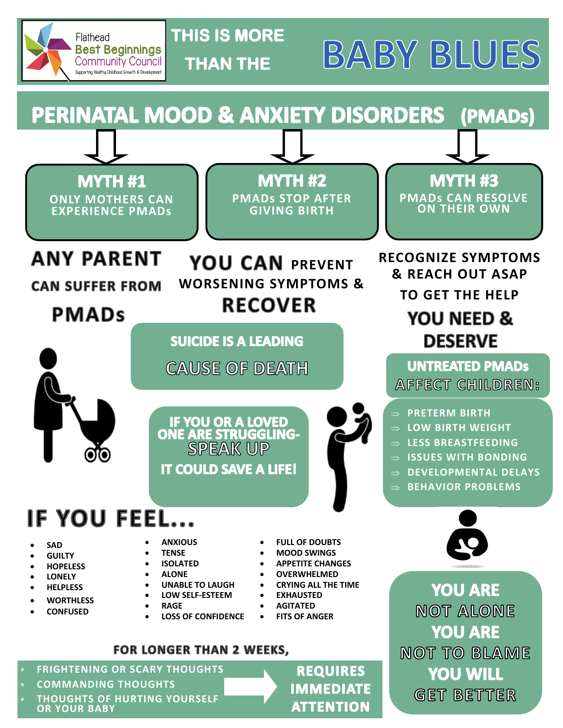

# **THIS IS MORE THAN THE**

**BABY BLUES** 

#### PERINATAL MOOD & ANXIETY DISORDERS (PMADs)

**MYTH #1 ONLY MOTHERS CAN EXPERIENCE PMADs**

**MYTH #2 PMADs STOP AFTER GIVING BIRTH**

YOU CAN PREVENT

**WORSENING SYMPTOMS &** 

**RECOVER** 

**MYTH #3 PMADs CAN RESOLVE ON THEIR OWN**

# **ANY PARENT**

**CAN SUFFER FROM** 

# **PMADs**

**SUICIDE IS A LEADING** 

**CAUSE OF DEATH** 

**RECOGNIZE SYMPTOMS & REACH OUT ASAP TO GET THE HELP YOU NEED & DESERVE** 

#### **UNTREATED PMADS** AFFECT CHILDREN:

- **PRETERM BIRTH**
- **LOW BIRTH WEIGHT**
- **LESS BREASTFEEDING**
- **ISSUES WITH BONDING**
- **DEVELOPMENTAL DELAYS**
- **BEHAVIOR PROBLEMS**



**YOU ARE NOT ALONE YOU ARE NOT TO BLAME YOU WILL GET BETTER** 

**IF YOU OR A LOVED<br>ONE ARE STRUGGLING-SPEAK UP IT COULD SAVE A LIFE!** 

IF YOU FEEL...

- **SAD**
- **GUILTY**
- **HOPELESS**
- **LONELY**
- **HELPLESS**
- **WORTHLESS**
- **CONFUSED**
- **ANXIOUS TENSE**
- **ISOLATED**
- **ALONE**
- 
- **UNABLE TO LAUGH LOW SELF-ESTEEM**
- **RAGE**
- **LOSS OF CONFIDENCE**
- **APPETITE CHANGES OVERWHELMED**
- **CRYING ALL THE TIME**

 **FULL OF DOUBTS MOOD SWINGS**

- **EXHAUSTED**
- **AGITATED**
- **FITS OF ANGER**

#### **FOR LONGER THAN 2 WEEKS.**

- **FRIGHTENING OR SCARY THOUGHTS**
- **COMMANDING THOUGHTS**
- **OR YOUR BABY THOUGHTS OF HURTING YOURSELF**

**REQUIRES IMMEDIATE ATTENTION**